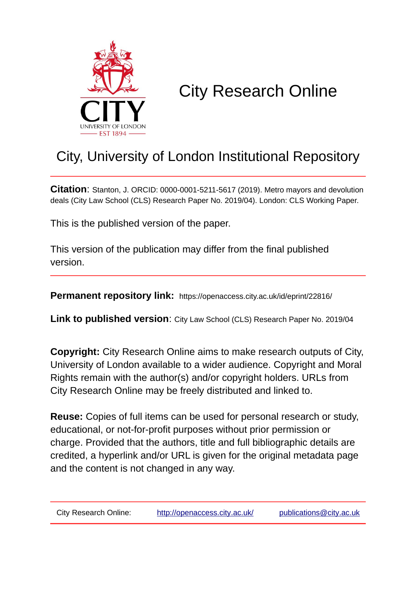

# City Research Online

## City, University of London Institutional Repository

**Citation**: Stanton, J. ORCID: 0000-0001-5211-5617 (2019). Metro mayors and devolution deals (City Law School (CLS) Research Paper No. 2019/04). London: CLS Working Paper.

This is the published version of the paper.

This version of the publication may differ from the final published version.

**Permanent repository link:** https://openaccess.city.ac.uk/id/eprint/22816/

**Link to published version**: City Law School (CLS) Research Paper No. 2019/04

**Copyright:** City Research Online aims to make research outputs of City, University of London available to a wider audience. Copyright and Moral Rights remain with the author(s) and/or copyright holders. URLs from City Research Online may be freely distributed and linked to.

**Reuse:** Copies of full items can be used for personal research or study, educational, or not-for-profit purposes without prior permission or charge. Provided that the authors, title and full bibliographic details are credited, a hyperlink and/or URL is given for the original metadata page and the content is not changed in any way.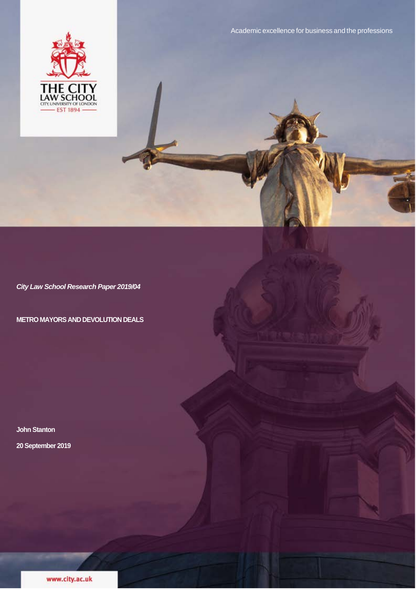

*City Law School Research Paper 2019/04*

**METRO MAYORS AND DEVOLUTION DEALS**

**John Stanton 20 September 2019**

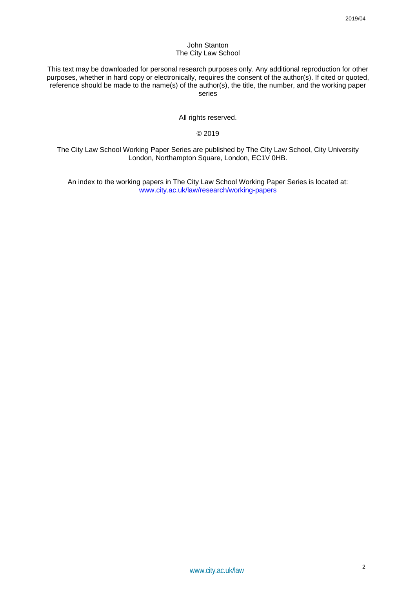#### John Stanton The City Law School

This text may be downloaded for personal research purposes only. Any additional reproduction for other purposes, whether in hard copy or electronically, requires the consent of the author(s). If cited or quoted, reference should be made to the name(s) of the author(s), the title, the number, and the working paper series

All rights reserved.

## © 2019

The City Law School Working Paper Series are published by The City Law School, City University London, Northampton Square, London, EC1V 0HB.

An index to the working papers in The City Law School Working Paper Series is located at: www.city.ac.uk/law/research/working-papers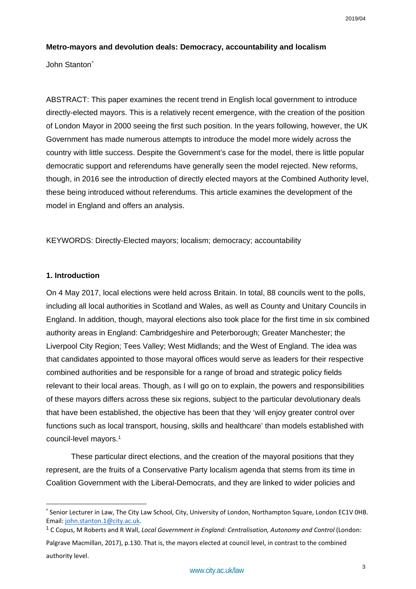#### **Metro-mayors and devolution deals: Democracy, accountability and localism**

John Stanton[\\*](#page-3-0)

ABSTRACT: This paper examines the recent trend in English local government to introduce directly-elected mayors. This is a relatively recent emergence, with the creation of the position of London Mayor in 2000 seeing the first such position. In the years following, however, the UK Government has made numerous attempts to introduce the model more widely across the country with little success. Despite the Government's case for the model, there is little popular democratic support and referendums have generally seen the model rejected. New reforms, though, in 2016 see the introduction of directly elected mayors at the Combined Authority level, these being introduced without referendums. This article examines the development of the model in England and offers an analysis.

KEYWORDS: Directly-Elected mayors; localism; democracy; accountability

## **1. Introduction**

On 4 May 2017, local elections were held across Britain. In total, 88 councils went to the polls, including all local authorities in Scotland and Wales, as well as County and Unitary Councils in England. In addition, though, mayoral elections also took place for the first time in six combined authority areas in England: Cambridgeshire and Peterborough; Greater Manchester; the Liverpool City Region; Tees Valley; West Midlands; and the West of England. The idea was that candidates appointed to those mayoral offices would serve as leaders for their respective combined authorities and be responsible for a range of broad and strategic policy fields relevant to their local areas. Though, as I will go on to explain, the powers and responsibilities of these mayors differs across these six regions, subject to the particular devolutionary deals that have been established, the objective has been that they 'will enjoy greater control over functions such as local transport, housing, skills and healthcare' than models established with council-level mayors.[1](#page-3-1)

These particular direct elections, and the creation of the mayoral positions that they represent, are the fruits of a Conservative Party localism agenda that stems from its time in Coalition Government with the Liberal-Democrats, and they are linked to wider policies and

<span id="page-3-0"></span> <sup>\*</sup> Senior Lecturer in Law, The City Law School, City, University of London, Northampton Square, London EC1V 0HB. Email: [john.stanton.1@city.ac.uk.](mailto:john.stanton.1@city.ac.uk)

<span id="page-3-1"></span><sup>1</sup> C Copus, M Roberts and R Wall, *Local Government in England: Centralisation, Autonomy and Control* (London: Palgrave Macmillan, 2017), p.130. That is, the mayors elected at council level, in contrast to the combined authority level.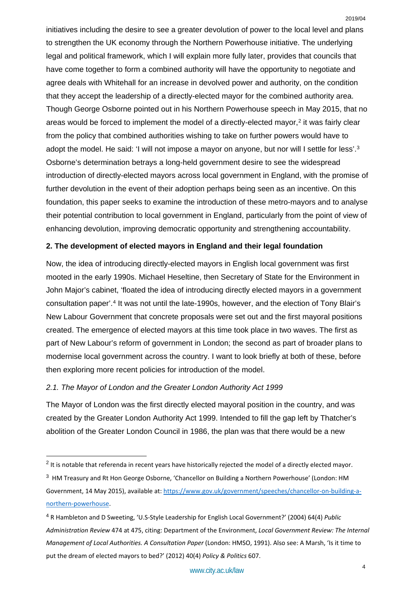initiatives including the desire to see a greater devolution of power to the local level and plans to strengthen the UK economy through the Northern Powerhouse initiative. The underlying legal and political framework, which I will explain more fully later, provides that councils that have come together to form a combined authority will have the opportunity to negotiate and agree deals with Whitehall for an increase in devolved power and authority, on the condition that they accept the leadership of a directly-elected mayor for the combined authority area. Though George Osborne pointed out in his Northern Powerhouse speech in May 2015, that no areas would be forced to implement the model of a directly-elected mayor,<sup>[2](#page-4-0)</sup> it was fairly clear from the policy that combined authorities wishing to take on further powers would have to adopt the model. He said: 'I will not impose a mayor on anyone, but nor will I settle for less'.<sup>[3](#page-4-1)</sup> Osborne's determination betrays a long-held government desire to see the widespread introduction of directly-elected mayors across local government in England, with the promise of further devolution in the event of their adoption perhaps being seen as an incentive. On this foundation, this paper seeks to examine the introduction of these metro-mayors and to analyse their potential contribution to local government in England, particularly from the point of view of enhancing devolution, improving democratic opportunity and strengthening accountability.

## **2. The development of elected mayors in England and their legal foundation**

Now, the idea of introducing directly-elected mayors in English local government was first mooted in the early 1990s. Michael Heseltine, then Secretary of State for the Environment in John Major's cabinet, 'floated the idea of introducing directly elected mayors in a government consultation paper'.[4](#page-4-2) It was not until the late-1990s, however, and the election of Tony Blair's New Labour Government that concrete proposals were set out and the first mayoral positions created. The emergence of elected mayors at this time took place in two waves. The first as part of New Labour's reform of government in London; the second as part of broader plans to modernise local government across the country. I want to look briefly at both of these, before then exploring more recent policies for introduction of the model.

## *2.1. The Mayor of London and the Greater London Authority Act 1999*

The Mayor of London was the first directly elected mayoral position in the country, and was created by the Greater London Authority Act 1999. Intended to fill the gap left by Thatcher's abolition of the Greater London Council in 1986, the plan was that there would be a new

<span id="page-4-0"></span> $2$  It is notable that referenda in recent years have historically rejected the model of a directly elected mayor.

<span id="page-4-1"></span><sup>&</sup>lt;sup>3</sup> HM Treasury and Rt Hon George Osborne, 'Chancellor on Building a Northern Powerhouse' (London: HM Government, 14 May 2015), available at: [https://www.gov.uk/government/speeches/chancellor-on-building-a](https://www.gov.uk/government/speeches/chancellor-on-building-a-northern-powerhouse)[northern-powerhouse.](https://www.gov.uk/government/speeches/chancellor-on-building-a-northern-powerhouse)

<span id="page-4-2"></span><sup>4</sup> R Hambleton and D Sweeting, 'U.S-Style Leadership for English Local Government?' (2004) 64(4) *Public Administration Review* 474 at 475, citing: Department of the Environment, *Local Government Review: The Internal Management of Local Authorities. A Consultation Paper* (London: HMSO, 1991). Also see: A Marsh, 'Is it time to put the dream of elected mayors to bed?' (2012) 40(4) *Policy & Politics* 607.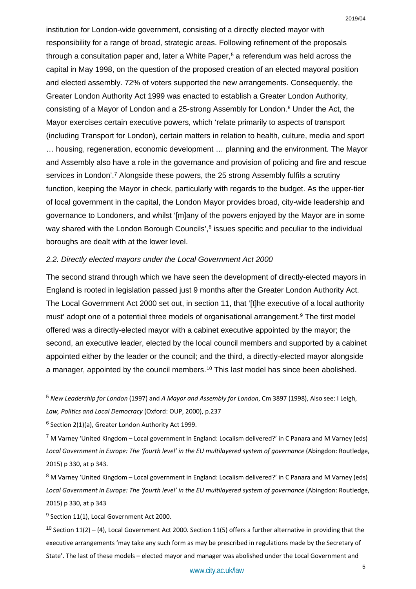institution for London-wide government, consisting of a directly elected mayor with responsibility for a range of broad, strategic areas. Following refinement of the proposals through a consultation paper and, later a White Paper,<sup>[5](#page-5-0)</sup> a referendum was held across the capital in May 1998, on the question of the proposed creation of an elected mayoral position and elected assembly. 72% of voters supported the new arrangements. Consequently, the Greater London Authority Act 1999 was enacted to establish a Greater London Authority, consisting of a Mayor of London and a 25-strong Assembly for London.<sup>[6](#page-5-1)</sup> Under the Act, the Mayor exercises certain executive powers, which 'relate primarily to aspects of transport (including Transport for London), certain matters in relation to health, culture, media and sport … housing, regeneration, economic development … planning and the environment. The Mayor and Assembly also have a role in the governance and provision of policing and fire and rescue services in London'.<sup>[7](#page-5-2)</sup> Alongside these powers, the 25 strong Assembly fulfils a scrutiny function, keeping the Mayor in check, particularly with regards to the budget. As the upper-tier of local government in the capital, the London Mayor provides broad, city-wide leadership and governance to Londoners, and whilst '[m]any of the powers enjoyed by the Mayor are in some way shared with the London Borough Councils',<sup>[8](#page-5-3)</sup> issues specific and peculiar to the individual boroughs are dealt with at the lower level.

#### *2.2. Directly elected mayors under the Local Government Act 2000*

The second strand through which we have seen the development of directly-elected mayors in England is rooted in legislation passed just 9 months after the Greater London Authority Act. The Local Government Act 2000 set out, in section 11, that '[t]he executive of a local authority must' adopt one of a potential three models of organisational arrangement.<sup>[9](#page-5-4)</sup> The first model offered was a directly-elected mayor with a cabinet executive appointed by the mayor; the second, an executive leader, elected by the local council members and supported by a cabinet appointed either by the leader or the council; and the third, a directly-elected mayor alongside a manager, appointed by the council members.<sup>[10](#page-5-5)</sup> This last model has since been abolished.

<span id="page-5-4"></span> $9$  Section 11(1), Local Government Act 2000.

<span id="page-5-5"></span><sup>10</sup> Section 11(2) – (4), Local Government Act 2000. Section 11(5) offers a further alternative in providing that the executive arrangements 'may take any such form as may be prescribed in regulations made by the Secretary of State'. The last of these models – elected mayor and manager was abolished under the Local Government and

<span id="page-5-0"></span> <sup>5</sup> *New Leadership for London* (1997) and *A Mayor and Assembly for London*, Cm 3897 (1998), Also see: I Leigh, *Law, Politics and Local Democracy* (Oxford: OUP, 2000), p.237

<span id="page-5-1"></span> $6$  Section 2(1)(a), Greater London Authority Act 1999.

<span id="page-5-2"></span><sup>7</sup> M Varney 'United Kingdom – Local government in England: Localism delivered?' in C Panara and M Varney (eds) *Local Government in Europe: The 'fourth level' in the EU multilayered system of governance* (Abingdon: Routledge, 2015) p 330, at p 343.

<span id="page-5-3"></span><sup>8</sup> M Varney 'United Kingdom – Local government in England: Localism delivered?' in C Panara and M Varney (eds) *Local Government in Europe: The 'fourth level' in the EU multilayered system of governance* (Abingdon: Routledge, 2015) p 330, at p 343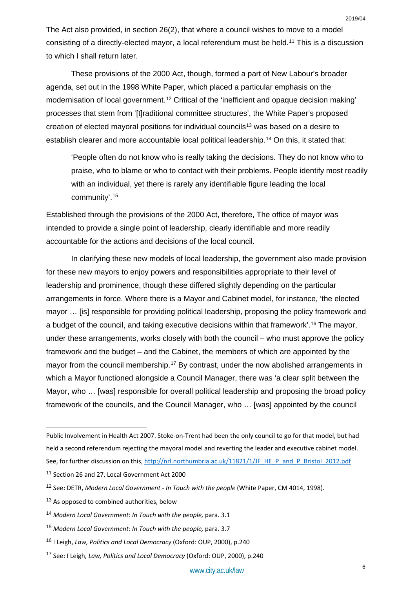The Act also provided, in section 26(2), that where a council wishes to move to a model consisting of a directly-elected mayor, a local referendum must be held.[11](#page-6-0) This is a discussion to which I shall return later.

These provisions of the 2000 Act, though, formed a part of New Labour's broader agenda, set out in the 1998 White Paper, which placed a particular emphasis on the modernisation of local government.<sup>[12](#page-6-1)</sup> Critical of the 'inefficient and opaque decision making' processes that stem from '[t]raditional committee structures', the White Paper's proposed creation of elected mayoral positions for individual councils<sup>[13](#page-6-2)</sup> was based on a desire to establish clearer and more accountable local political leadership.<sup>[14](#page-6-3)</sup> On this, it stated that:

'People often do not know who is really taking the decisions. They do not know who to praise, who to blame or who to contact with their problems. People identify most readily with an individual, yet there is rarely any identifiable figure leading the local community'.[15](#page-6-4)

Established through the provisions of the 2000 Act, therefore, The office of mayor was intended to provide a single point of leadership, clearly identifiable and more readily accountable for the actions and decisions of the local council.

In clarifying these new models of local leadership, the government also made provision for these new mayors to enjoy powers and responsibilities appropriate to their level of leadership and prominence, though these differed slightly depending on the particular arrangements in force. Where there is a Mayor and Cabinet model, for instance, 'the elected mayor … [is] responsible for providing political leadership, proposing the policy framework and a budget of the council, and taking executive decisions within that framework'.[16](#page-6-5) The mayor, under these arrangements, works closely with both the council – who must approve the policy framework and the budget – and the Cabinet, the members of which are appointed by the mayor from the council membership.<sup>[17](#page-6-6)</sup> By contrast, under the now abolished arrangements in which a Mayor functioned alongside a Council Manager, there was 'a clear split between the Mayor, who … [was] responsible for overall political leadership and proposing the broad policy framework of the councils, and the Council Manager, who … [was] appointed by the council

<u>.</u>

Public Involvement in Health Act 2007. Stoke-on-Trent had been the only council to go for that model, but had held a second referendum rejecting the mayoral model and reverting the leader and executive cabinet model.

See, for further discussion on this[, http://nrl.northumbria.ac.uk/11821/1/JF\\_HE\\_P\\_and\\_P\\_Bristol\\_2012.pdf](http://nrl.northumbria.ac.uk/11821/1/JF_HE_P_and_P_Bristol_2012.pdf)

<span id="page-6-0"></span><sup>11</sup> Section 26 and 27, Local Government Act 2000

<span id="page-6-1"></span><sup>12</sup> See: DETR, *Modern Local Government - In Touch with the people* (White Paper, CM 4014, 1998).

<span id="page-6-2"></span><sup>&</sup>lt;sup>13</sup> As opposed to combined authorities, below

<span id="page-6-3"></span><sup>14</sup> Modern Local Government: In Touch with the people, para. 3.1

<span id="page-6-4"></span><sup>15</sup> *Modern Local Government: In Touch with the people,* para. 3.7

<span id="page-6-5"></span><sup>16</sup> I Leigh, *Law, Politics and Local Democracy* (Oxford: OUP, 2000), p.240

<span id="page-6-6"></span><sup>17</sup> See: I Leigh, *Law, Politics and Local Democracy* (Oxford: OUP, 2000), p.240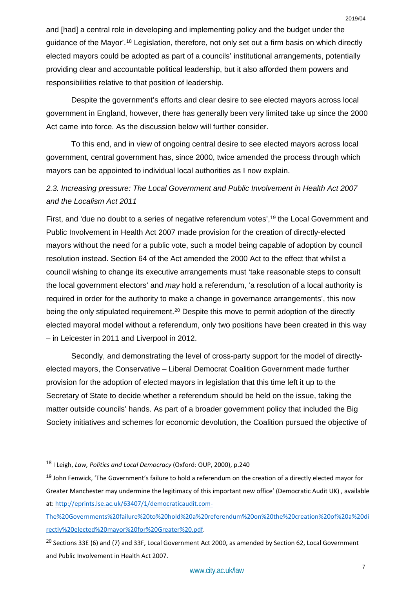and [had] a central role in developing and implementing policy and the budget under the guidance of the Mayor'.[18](#page-7-0) Legislation, therefore, not only set out a firm basis on which directly elected mayors could be adopted as part of a councils' institutional arrangements, potentially providing clear and accountable political leadership, but it also afforded them powers and responsibilities relative to that position of leadership.

Despite the government's efforts and clear desire to see elected mayors across local government in England, however, there has generally been very limited take up since the 2000 Act came into force. As the discussion below will further consider.

To this end, and in view of ongoing central desire to see elected mayors across local government, central government has, since 2000, twice amended the process through which mayors can be appointed to individual local authorities as I now explain.

## *2.3. Increasing pressure: The Local Government and Public Involvement in Health Act 2007 and the Localism Act 2011*

First, and 'due no doubt to a series of negative referendum votes', <sup>[19](#page-7-1)</sup> the Local Government and Public Involvement in Health Act 2007 made provision for the creation of directly-elected mayors without the need for a public vote, such a model being capable of adoption by council resolution instead. Section 64 of the Act amended the 2000 Act to the effect that whilst a council wishing to change its executive arrangements must 'take reasonable steps to consult the local government electors' and *may* hold a referendum, 'a resolution of a local authority is required in order for the authority to make a change in governance arrangements', this now being the only stipulated requirement.<sup>[20](#page-7-2)</sup> Despite this move to permit adoption of the directly elected mayoral model without a referendum, only two positions have been created in this way – in Leicester in 2011 and Liverpool in 2012.

Secondly, and demonstrating the level of cross-party support for the model of directlyelected mayors, the Conservative – Liberal Democrat Coalition Government made further provision for the adoption of elected mayors in legislation that this time left it up to the Secretary of State to decide whether a referendum should be held on the issue, taking the matter outside councils' hands. As part of a broader government policy that included the Big Society initiatives and schemes for economic devolution, the Coalition pursued the objective of

<span id="page-7-0"></span> <sup>18</sup> I Leigh, *Law, Politics and Local Democracy* (Oxford: OUP, 2000), p.240

<span id="page-7-1"></span><sup>&</sup>lt;sup>19</sup> John Fenwick, 'The Government's failure to hold a referendum on the creation of a directly elected mayor for Greater Manchester may undermine the legitimacy of this important new office' (Democratic Audit UK) , available at: [http://eprints.lse.ac.uk/63407/1/democraticaudit.com-](http://eprints.lse.ac.uk/63407/1/democraticaudit.com-The%2520Governments%2520failure%2520to%2520hold%2520a%2520referendum%2520on%2520the%2520creation%2520of%2520a%2520directly%2520elected%2520mayor%2520for%2520Greater%2520.pdf)

[The%20Governments%20failure%20to%20hold%20a%20referendum%20on%20the%20creation%20of%20a%20di](http://eprints.lse.ac.uk/63407/1/democraticaudit.com-The%2520Governments%2520failure%2520to%2520hold%2520a%2520referendum%2520on%2520the%2520creation%2520of%2520a%2520directly%2520elected%2520mayor%2520for%2520Greater%2520.pdf) [rectly%20elected%20mayor%20for%20Greater%20.pdf.](http://eprints.lse.ac.uk/63407/1/democraticaudit.com-The%2520Governments%2520failure%2520to%2520hold%2520a%2520referendum%2520on%2520the%2520creation%2520of%2520a%2520directly%2520elected%2520mayor%2520for%2520Greater%2520.pdf)

<span id="page-7-2"></span><sup>20</sup> Sections 33E (6) and (7) and 33F, Local Government Act 2000, as amended by Section 62, Local Government and Public Involvement in Health Act 2007.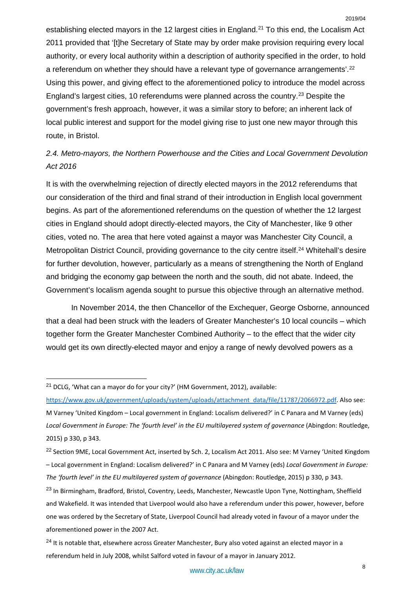establishing elected mayors in the 12 largest cities in England.<sup>[21](#page-8-0)</sup> To this end, the Localism Act 2011 provided that '[t]he Secretary of State may by order make provision requiring every local authority, or every local authority within a description of authority specified in the order, to hold a referendum on whether they should have a relevant type of governance arrangements'.<sup>[22](#page-8-1)</sup> Using this power, and giving effect to the aforementioned policy to introduce the model across England's largest cities, 10 referendums were planned across the country.[23](#page-8-2) Despite the government's fresh approach, however, it was a similar story to before; an inherent lack of local public interest and support for the model giving rise to just one new mayor through this route, in Bristol.

## *2.4. Metro-mayors, the Northern Powerhouse and the Cities and Local Government Devolution Act 2016*

It is with the overwhelming rejection of directly elected mayors in the 2012 referendums that our consideration of the third and final strand of their introduction in English local government begins. As part of the aforementioned referendums on the question of whether the 12 largest cities in England should adopt directly-elected mayors, the City of Manchester, like 9 other cities, voted no. The area that here voted against a mayor was Manchester City Council, a Metropolitan District Council, providing governance to the city centre itself.<sup>[24](#page-8-3)</sup> Whitehall's desire for further devolution, however, particularly as a means of strengthening the North of England and bridging the economy gap between the north and the south, did not abate. Indeed, the Government's localism agenda sought to pursue this objective through an alternative method.

In November 2014, the then Chancellor of the Exchequer, George Osborne, announced that a deal had been struck with the leaders of Greater Manchester's 10 local councils – which together form the Greater Manchester Combined Authority – to the effect that the wider city would get its own directly-elected mayor and enjoy a range of newly devolved powers as a

<span id="page-8-0"></span><sup>&</sup>lt;sup>21</sup> DCLG. 'What can a mayor do for your city?' (HM Government, 2012), available:

[https://www.gov.uk/government/uploads/system/uploads/attachment\\_data/file/11787/2066972.pdf.](https://www.gov.uk/government/uploads/system/uploads/attachment_data/file/11787/2066972.pdf) Also see: M Varney 'United Kingdom – Local government in England: Localism delivered?' in C Panara and M Varney (eds) *Local Government in Europe: The 'fourth level' in the EU multilayered system of governance* (Abingdon: Routledge, 2015) p 330, p 343.

<span id="page-8-1"></span><sup>&</sup>lt;sup>22</sup> Section 9ME, Local Government Act, inserted by Sch. 2, Localism Act 2011. Also see: M Varney 'United Kingdom – Local government in England: Localism delivered?' in C Panara and M Varney (eds) *Local Government in Europe: The 'fourth level' in the EU multilayered system of governance* (Abingdon: Routledge, 2015) p 330, p 343.

<span id="page-8-2"></span><sup>&</sup>lt;sup>23</sup> In Birmingham, Bradford, Bristol, Coventry, Leeds, Manchester, Newcastle Upon Tyne, Nottingham, Sheffield and Wakefield. It was intended that Liverpool would also have a referendum under this power, however, before one was ordered by the Secretary of State, Liverpool Council had already voted in favour of a mayor under the aforementioned power in the 2007 Act.

<span id="page-8-3"></span> $^{24}$  It is notable that, elsewhere across Greater Manchester, Bury also voted against an elected mayor in a referendum held in July 2008, whilst Salford voted in favour of a mayor in January 2012.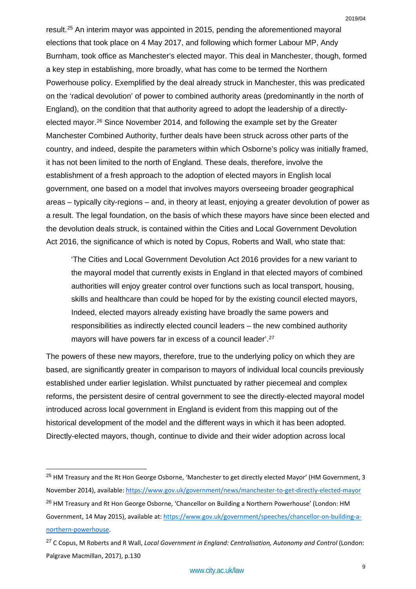result.[25](#page-9-0) An interim mayor was appointed in 2015, pending the aforementioned mayoral elections that took place on 4 May 2017, and following which former Labour MP, Andy Burnham, took office as Manchester's elected mayor. This deal in Manchester, though, formed a key step in establishing, more broadly, what has come to be termed the Northern Powerhouse policy. Exemplified by the deal already struck in Manchester, this was predicated on the 'radical devolution' of power to combined authority areas (predominantly in the north of England), on the condition that that authority agreed to adopt the leadership of a directly-elected mayor.<sup>[26](#page-9-1)</sup> Since November 2014, and following the example set by the Greater Manchester Combined Authority, further deals have been struck across other parts of the country, and indeed, despite the parameters within which Osborne's policy was initially framed, it has not been limited to the north of England. These deals, therefore, involve the establishment of a fresh approach to the adoption of elected mayors in English local government, one based on a model that involves mayors overseeing broader geographical areas – typically city-regions – and, in theory at least, enjoying a greater devolution of power as a result. The legal foundation, on the basis of which these mayors have since been elected and the devolution deals struck, is contained within the Cities and Local Government Devolution Act 2016, the significance of which is noted by Copus, Roberts and Wall, who state that:

'The Cities and Local Government Devolution Act 2016 provides for a new variant to the mayoral model that currently exists in England in that elected mayors of combined authorities will enjoy greater control over functions such as local transport, housing, skills and healthcare than could be hoped for by the existing council elected mayors, Indeed, elected mayors already existing have broadly the same powers and responsibilities as indirectly elected council leaders – the new combined authority mayors will have powers far in excess of a council leader'.[27](#page-9-2)

The powers of these new mayors, therefore, true to the underlying policy on which they are based, are significantly greater in comparison to mayors of individual local councils previously established under earlier legislation. Whilst punctuated by rather piecemeal and complex reforms, the persistent desire of central government to see the directly-elected mayoral model introduced across local government in England is evident from this mapping out of the historical development of the model and the different ways in which it has been adopted. Directly-elected mayors, though, continue to divide and their wider adoption across local

<span id="page-9-0"></span><sup>&</sup>lt;sup>25</sup> HM Treasury and the Rt Hon George Osborne, 'Manchester to get directly elected Mayor' (HM Government, 3 November 2014), available:<https://www.gov.uk/government/news/manchester-to-get-directly-elected-mayor>

<span id="page-9-1"></span><sup>&</sup>lt;sup>26</sup> HM Treasury and Rt Hon George Osborne, 'Chancellor on Building a Northern Powerhouse' (London: HM Government, 14 May 2015), available at: [https://www.gov.uk/government/speeches/chancellor-on-building-a](https://www.gov.uk/government/speeches/chancellor-on-building-a-northern-powerhouse)[northern-powerhouse.](https://www.gov.uk/government/speeches/chancellor-on-building-a-northern-powerhouse)

<span id="page-9-2"></span><sup>27</sup> C Copus, M Roberts and R Wall, *Local Government in England: Centralisation, Autonomy and Control* (London: Palgrave Macmillan, 2017), p.130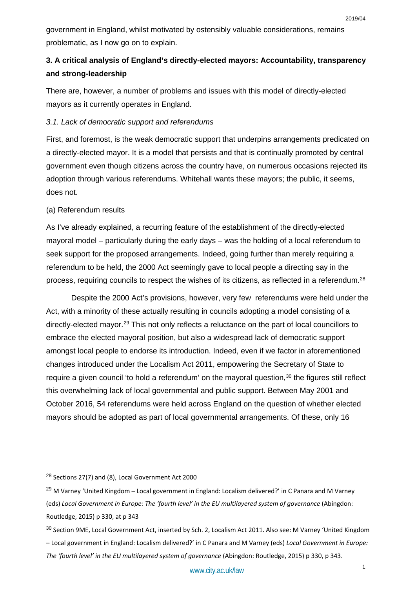government in England, whilst motivated by ostensibly valuable considerations, remains problematic, as I now go on to explain.

## **3. A critical analysis of England's directly-elected mayors: Accountability, transparency and strong-leadership**

There are, however, a number of problems and issues with this model of directly-elected mayors as it currently operates in England.

## *3.1. Lack of democratic support and referendums*

First, and foremost, is the weak democratic support that underpins arrangements predicated on a directly-elected mayor. It is a model that persists and that is continually promoted by central government even though citizens across the country have, on numerous occasions rejected its adoption through various referendums. Whitehall wants these mayors; the public, it seems, does not.

## (a) Referendum results

As I've already explained, a recurring feature of the establishment of the directly-elected mayoral model – particularly during the early days – was the holding of a local referendum to seek support for the proposed arrangements. Indeed, going further than merely requiring a referendum to be held, the 2000 Act seemingly gave to local people a directing say in the process, requiring councils to respect the wishes of its citizens, as reflected in a referendum.[28](#page-10-0)

Despite the 2000 Act's provisions, however, very few referendums were held under the Act, with a minority of these actually resulting in councils adopting a model consisting of a directly-elected mayor.[29](#page-10-1) This not only reflects a reluctance on the part of local councillors to embrace the elected mayoral position, but also a widespread lack of democratic support amongst local people to endorse its introduction. Indeed, even if we factor in aforementioned changes introduced under the Localism Act 2011, empowering the Secretary of State to require a given council 'to hold a referendum' on the mayoral question,<sup>[30](#page-10-2)</sup> the figures still reflect this overwhelming lack of local governmental and public support. Between May 2001 and October 2016, 54 referendums were held across England on the question of whether elected mayors should be adopted as part of local governmental arrangements. Of these, only 16

<span id="page-10-0"></span> <sup>28</sup> Sections 27(7) and (8), Local Government Act 2000

<span id="page-10-1"></span><sup>&</sup>lt;sup>29</sup> M Varney 'United Kingdom – Local government in England: Localism delivered?' in C Panara and M Varney (eds) *Local Government in Europe: The 'fourth level' in the EU multilayered system of governance* (Abingdon: Routledge, 2015) p 330, at p 343

<span id="page-10-2"></span><sup>&</sup>lt;sup>30</sup> Section 9ME, Local Government Act, inserted by Sch. 2, Localism Act 2011. Also see: M Varney 'United Kingdom – Local government in England: Localism delivered?' in C Panara and M Varney (eds) *Local Government in Europe: The 'fourth level' in the EU multilayered system of governance* (Abingdon: Routledge, 2015) p 330, p 343.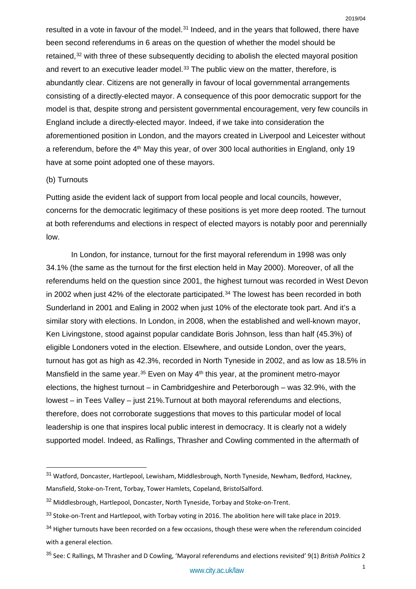resulted in a vote in favour of the model.<sup>[31](#page-11-0)</sup> Indeed, and in the years that followed, there have been second referendums in 6 areas on the question of whether the model should be retained,<sup>[32](#page-11-1)</sup> with three of these subsequently deciding to abolish the elected mayoral position and revert to an executive leader model.<sup>[33](#page-11-2)</sup> The public view on the matter, therefore, is abundantly clear. Citizens are not generally in favour of local governmental arrangements consisting of a directly-elected mayor. A consequence of this poor democratic support for the model is that, despite strong and persistent governmental encouragement, very few councils in England include a directly-elected mayor. Indeed, if we take into consideration the aforementioned position in London, and the mayors created in Liverpool and Leicester without a referendum, before the 4<sup>th</sup> May this year, of over 300 local authorities in England, only 19 have at some point adopted one of these mayors.

## (b) Turnouts

Putting aside the evident lack of support from local people and local councils, however, concerns for the democratic legitimacy of these positions is yet more deep rooted. The turnout at both referendums and elections in respect of elected mayors is notably poor and perennially low.

In London, for instance, turnout for the first mayoral referendum in 1998 was only 34.1% (the same as the turnout for the first election held in May 2000). Moreover, of all the referendums held on the question since 2001, the highest turnout was recorded in West Devon in 2002 when just 42% of the electorate participated. $34$  The lowest has been recorded in both Sunderland in 2001 and Ealing in 2002 when just 10% of the electorate took part. And it's a similar story with elections. In London, in 2008, when the established and well-known mayor, Ken Livingstone, stood against popular candidate Boris Johnson, less than half (45.3%) of eligible Londoners voted in the election. Elsewhere, and outside London, over the years, turnout has got as high as 42.3%, recorded in North Tyneside in 2002, and as low as 18.5% in Mansfield in the same year.<sup>[35](#page-11-4)</sup> Even on May  $4<sup>th</sup>$  this year, at the prominent metro-mayor elections, the highest turnout – in Cambridgeshire and Peterborough – was 32.9%, with the lowest – in Tees Valley – just 21%.Turnout at both mayoral referendums and elections, therefore, does not corroborate suggestions that moves to this particular model of local leadership is one that inspires local public interest in democracy. It is clearly not a widely supported model. Indeed, as Rallings, Thrasher and Cowling commented in the aftermath of

<span id="page-11-0"></span> <sup>31</sup> Watford, Doncaster, Hartlepool, Lewisham, Middlesbrough, North Tyneside, Newham, Bedford, Hackney, Mansfield, Stoke-on-Trent, Torbay, Tower Hamlets, Copeland, BristolSalford.

<span id="page-11-1"></span><sup>32</sup> Middlesbrough, Hartlepool, Doncaster, North Tyneside, Torbay and Stoke-on-Trent.

<span id="page-11-2"></span><sup>33</sup> Stoke-on-Trent and Hartlepool, with Torbay voting in 2016. The abolition here will take place in 2019.

<span id="page-11-3"></span><sup>&</sup>lt;sup>34</sup> Higher turnouts have been recorded on a few occasions, though these were when the referendum coincided with a general election.

<span id="page-11-4"></span><sup>35</sup> See: C Rallings, M Thrasher and D Cowling, 'Mayoral referendums and elections revisited' 9(1) *British Politics* 2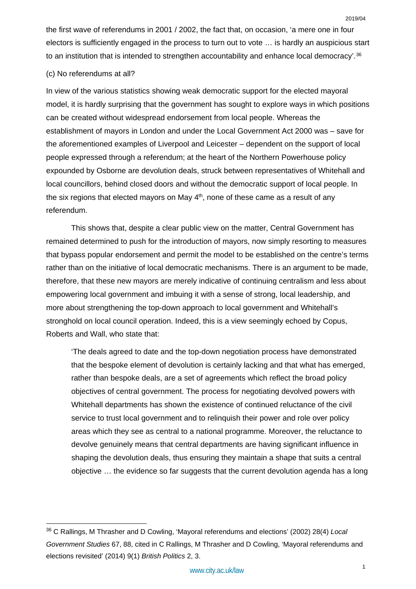the first wave of referendums in 2001 / 2002, the fact that, on occasion, 'a mere one in four electors is sufficiently engaged in the process to turn out to vote … is hardly an auspicious start to an institution that is intended to strengthen accountability and enhance local democracy'.<sup>[36](#page-12-0)</sup>

## (c) No referendums at all?

In view of the various statistics showing weak democratic support for the elected mayoral model, it is hardly surprising that the government has sought to explore ways in which positions can be created without widespread endorsement from local people. Whereas the establishment of mayors in London and under the Local Government Act 2000 was – save for the aforementioned examples of Liverpool and Leicester – dependent on the support of local people expressed through a referendum; at the heart of the Northern Powerhouse policy expounded by Osborne are devolution deals, struck between representatives of Whitehall and local councillors, behind closed doors and without the democratic support of local people. In the six regions that elected mayors on May 4<sup>th</sup>, none of these came as a result of any referendum.

This shows that, despite a clear public view on the matter, Central Government has remained determined to push for the introduction of mayors, now simply resorting to measures that bypass popular endorsement and permit the model to be established on the centre's terms rather than on the initiative of local democratic mechanisms. There is an argument to be made, therefore, that these new mayors are merely indicative of continuing centralism and less about empowering local government and imbuing it with a sense of strong, local leadership, and more about strengthening the top-down approach to local government and Whitehall's stronghold on local council operation. Indeed, this is a view seemingly echoed by Copus, Roberts and Wall, who state that:

'The deals agreed to date and the top-down negotiation process have demonstrated that the bespoke element of devolution is certainly lacking and that what has emerged, rather than bespoke deals, are a set of agreements which reflect the broad policy objectives of central government. The process for negotiating devolved powers with Whitehall departments has shown the existence of continued reluctance of the civil service to trust local government and to relinquish their power and role over policy areas which they see as central to a national programme. Moreover, the reluctance to devolve genuinely means that central departments are having significant influence in shaping the devolution deals, thus ensuring they maintain a shape that suits a central objective … the evidence so far suggests that the current devolution agenda has a long

<span id="page-12-0"></span> <sup>36</sup> C Rallings, M Thrasher and D Cowling, 'Mayoral referendums and elections' (2002) 28(4) *Local Government Studies* 67, 88, cited in C Rallings, M Thrasher and D Cowling, 'Mayoral referendums and elections revisited' (2014) 9(1) *British Politics* 2, 3.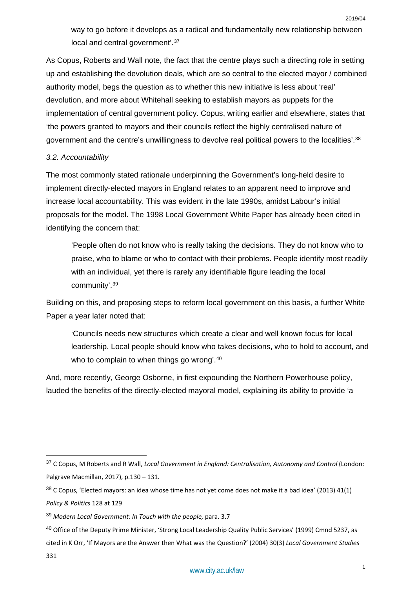way to go before it develops as a radical and fundamentally new relationship between local and central government'.<sup>[37](#page-13-0)</sup>

As Copus, Roberts and Wall note, the fact that the centre plays such a directing role in setting up and establishing the devolution deals, which are so central to the elected mayor / combined authority model, begs the question as to whether this new initiative is less about 'real' devolution, and more about Whitehall seeking to establish mayors as puppets for the implementation of central government policy. Copus, writing earlier and elsewhere, states that 'the powers granted to mayors and their councils reflect the highly centralised nature of government and the centre's unwillingness to devolve real political powers to the localities'.[38](#page-13-1)

## *3.2. Accountability*

The most commonly stated rationale underpinning the Government's long-held desire to implement directly-elected mayors in England relates to an apparent need to improve and increase local accountability. This was evident in the late 1990s, amidst Labour's initial proposals for the model. The 1998 Local Government White Paper has already been cited in identifying the concern that:

'People often do not know who is really taking the decisions. They do not know who to praise, who to blame or who to contact with their problems. People identify most readily with an individual, yet there is rarely any identifiable figure leading the local community'.[39](#page-13-2)

Building on this, and proposing steps to reform local government on this basis, a further White Paper a year later noted that:

'Councils needs new structures which create a clear and well known focus for local leadership. Local people should know who takes decisions, who to hold to account, and who to complain to when things go wrong'.<sup>[40](#page-13-3)</sup>

And, more recently, George Osborne, in first expounding the Northern Powerhouse policy, lauded the benefits of the directly-elected mayoral model, explaining its ability to provide 'a

<span id="page-13-0"></span> <sup>37</sup> C Copus, M Roberts and R Wall, *Local Government in England: Centralisation, Autonomy and Control* (London: Palgrave Macmillan, 2017), p.130 – 131.

<span id="page-13-1"></span><sup>38</sup> C Copus, 'Elected mayors: an idea whose time has not yet come does not make it a bad idea' (2013) 41(1) *Policy & Politics* 128 at 129

<span id="page-13-2"></span><sup>39</sup> *Modern Local Government: In Touch with the people,* para. 3.7

<span id="page-13-3"></span><sup>&</sup>lt;sup>40</sup> Office of the Deputy Prime Minister, 'Strong Local Leadership Quality Public Services' (1999) Cmnd 5237, as cited in K Orr, 'If Mayors are the Answer then What was the Question?' (2004) 30(3) *Local Government Studies* 331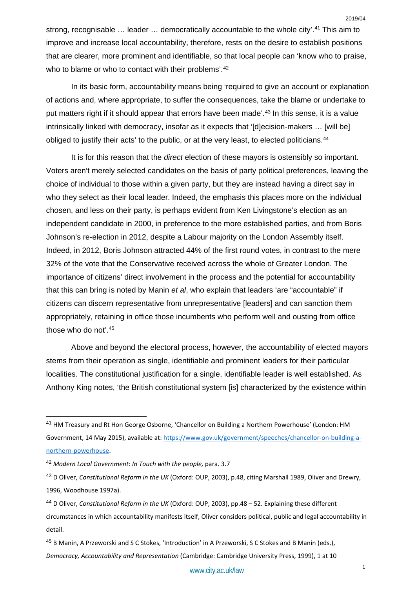strong, recognisable … leader … democratically accountable to the whole city'.[41](#page-14-0) This aim to improve and increase local accountability, therefore, rests on the desire to establish positions that are clearer, more prominent and identifiable, so that local people can 'know who to praise, who to blame or who to contact with their problems'.<sup>[42](#page-14-1)</sup>

In its basic form, accountability means being 'required to give an account or explanation of actions and, where appropriate, to suffer the consequences, take the blame or undertake to put matters right if it should appear that errors have been made'.<sup>[43](#page-14-2)</sup> In this sense, it is a value intrinsically linked with democracy, insofar as it expects that '[d]ecision-makers … [will be] obliged to justify their acts' to the public, or at the very least, to elected politicians.<sup>[44](#page-14-3)</sup>

It is for this reason that the *direct* election of these mayors is ostensibly so important. Voters aren't merely selected candidates on the basis of party political preferences, leaving the choice of individual to those within a given party, but they are instead having a direct say in who they select as their local leader. Indeed, the emphasis this places more on the individual chosen, and less on their party, is perhaps evident from Ken Livingstone's election as an independent candidate in 2000, in preference to the more established parties, and from Boris Johnson's re-election in 2012, despite a Labour majority on the London Assembly itself. Indeed, in 2012, Boris Johnson attracted 44% of the first round votes, in contrast to the mere 32% of the vote that the Conservative received across the whole of Greater London. The importance of citizens' direct involvement in the process and the potential for accountability that this can bring is noted by Manin *et al*, who explain that leaders 'are "accountable" if citizens can discern representative from unrepresentative [leaders] and can sanction them appropriately, retaining in office those incumbents who perform well and ousting from office those who do not'.[45](#page-14-4)

Above and beyond the electoral process, however, the accountability of elected mayors stems from their operation as single, identifiable and prominent leaders for their particular localities. The constitutional justification for a single, identifiable leader is well established. As Anthony King notes, 'the British constitutional system [is] characterized by the existence within

<span id="page-14-0"></span> <sup>41</sup> HM Treasury and Rt Hon George Osborne, 'Chancellor on Building a Northern Powerhouse' (London: HM Government, 14 May 2015), available at: [https://www.gov.uk/government/speeches/chancellor-on-building-a](https://www.gov.uk/government/speeches/chancellor-on-building-a-northern-powerhouse)[northern-powerhouse.](https://www.gov.uk/government/speeches/chancellor-on-building-a-northern-powerhouse)

<span id="page-14-1"></span><sup>42</sup> *Modern Local Government: In Touch with the people,* para. 3.7

<span id="page-14-2"></span><sup>43</sup> D Oliver, *Constitutional Reform in the UK* (Oxford: OUP, 2003), p.48, citing Marshall 1989, Oliver and Drewry, 1996, Woodhouse 1997a).

<span id="page-14-3"></span><sup>44</sup> D Oliver, *Constitutional Reform in the UK* (Oxford: OUP, 2003), pp.48 – 52. Explaining these different circumstances in which accountability manifests itself, Oliver considers political, public and legal accountability in detail.

<span id="page-14-4"></span><sup>45</sup> B Manin, A Przeworski and S C Stokes, 'Introduction' in A Przeworski, S C Stokes and B Manin (eds.), *Democracy, Accountability and Representation* (Cambridge: Cambridge University Press, 1999), 1 at 10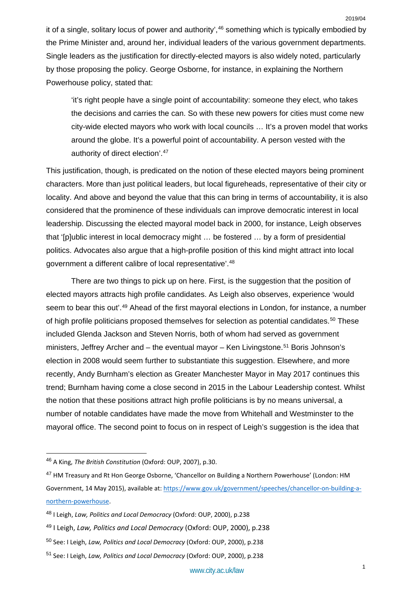it of a single, solitary locus of power and authority',<sup>[46](#page-15-0)</sup> something which is typically embodied by the Prime Minister and, around her, individual leaders of the various government departments. Single leaders as the justification for directly-elected mayors is also widely noted, particularly by those proposing the policy. George Osborne, for instance, in explaining the Northern Powerhouse policy, stated that:

'it's right people have a single point of accountability: someone they elect, who takes the decisions and carries the can. So with these new powers for cities must come new city-wide elected mayors who work with local councils … It's a proven model that works around the globe. It's a powerful point of accountability. A person vested with the authority of direct election'.[47](#page-15-1)

This justification, though, is predicated on the notion of these elected mayors being prominent characters. More than just political leaders, but local figureheads, representative of their city or locality. And above and beyond the value that this can bring in terms of accountability, it is also considered that the prominence of these individuals can improve democratic interest in local leadership. Discussing the elected mayoral model back in 2000, for instance, Leigh observes that '[p]ublic interest in local democracy might … be fostered … by a form of presidential politics. Advocates also argue that a high-profile position of this kind might attract into local government a different calibre of local representative'.[48](#page-15-2)

There are two things to pick up on here. First, is the suggestion that the position of elected mayors attracts high profile candidates. As Leigh also observes, experience 'would seem to bear this out'.<sup>[49](#page-15-3)</sup> Ahead of the first mayoral elections in London, for instance, a number of high profile politicians proposed themselves for selection as potential candidates.<sup>[50](#page-15-4)</sup> These included Glenda Jackson and Steven Norris, both of whom had served as government ministers, Jeffrey Archer and  $-$  the eventual mayor  $-$  Ken Livingstone.<sup>[51](#page-15-5)</sup> Boris Johnson's election in 2008 would seem further to substantiate this suggestion. Elsewhere, and more recently, Andy Burnham's election as Greater Manchester Mayor in May 2017 continues this trend; Burnham having come a close second in 2015 in the Labour Leadership contest. Whilst the notion that these positions attract high profile politicians is by no means universal, a number of notable candidates have made the move from Whitehall and Westminster to the mayoral office. The second point to focus on in respect of Leigh's suggestion is the idea that

<span id="page-15-0"></span> <sup>46</sup> A King, *The British Constitution* (Oxford: OUP, 2007), p.30.

<span id="page-15-1"></span><sup>47</sup> HM Treasury and Rt Hon George Osborne, 'Chancellor on Building a Northern Powerhouse' (London: HM Government, 14 May 2015), available at: [https://www.gov.uk/government/speeches/chancellor-on-building-a](https://www.gov.uk/government/speeches/chancellor-on-building-a-northern-powerhouse)[northern-powerhouse.](https://www.gov.uk/government/speeches/chancellor-on-building-a-northern-powerhouse)

<span id="page-15-2"></span><sup>48</sup> I Leigh, *Law, Politics and Local Democracy* (Oxford: OUP, 2000), p.238

<span id="page-15-3"></span><sup>49</sup> I Leigh, *Law, Politics and Local Democracy* (Oxford: OUP, 2000), p.238

<span id="page-15-4"></span><sup>50</sup> See: I Leigh, *Law, Politics and Local Democracy* (Oxford: OUP, 2000), p.238

<span id="page-15-5"></span><sup>51</sup> See: I Leigh, *Law, Politics and Local Democracy* (Oxford: OUP, 2000), p.238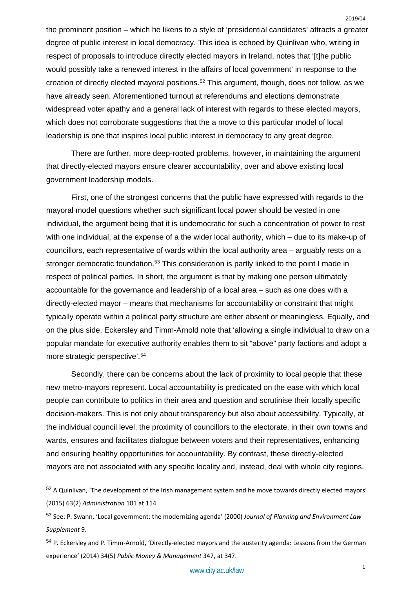the prominent position – which he likens to a style of 'presidential candidates' attracts a greater degree of public interest in local democracy. This idea is echoed by Quinlivan who, writing in respect of proposals to introduce directly elected mayors in Ireland, notes that '[t]he public would possibly take a renewed interest in the affairs of local government' in response to the creation of directly elected mayoral positions.[52](#page-16-0) This argument, though, does not follow, as we have already seen. Aforementioned turnout at referendums and elections demonstrate widespread voter apathy and a general lack of interest with regards to these elected mayors, which does not corroborate suggestions that the a move to this particular model of local leadership is one that inspires local public interest in democracy to any great degree.

There are further, more deep-rooted problems, however, in maintaining the argument that directly-elected mayors ensure clearer accountability, over and above existing local government leadership models.

First, one of the strongest concerns that the public have expressed with regards to the mayoral model questions whether such significant local power should be vested in one individual, the argument being that it is undemocratic for such a concentration of power to rest with one individual, at the expense of a the wider local authority, which – due to its make-up of councillors, each representative of wards within the local authority area – arguably rests on a stronger democratic foundation.<sup>[53](#page-16-1)</sup> This consideration is partly linked to the point I made in respect of political parties. In short, the argument is that by making one person ultimately accountable for the governance and leadership of a local area – such as one does with a directly-elected mayor – means that mechanisms for accountability or constraint that might typically operate within a political party structure are either absent or meaningless. Equally, and on the plus side, Eckersley and Timm-Arnold note that 'allowing a single individual to draw on a popular mandate for executive authority enables them to sit "above" party factions and adopt a more strategic perspective'.[54](#page-16-2)

Secondly, there can be concerns about the lack of proximity to local people that these new metro-mayors represent. Local accountability is predicated on the ease with which local people can contribute to politics in their area and question and scrutinise their locally specific decision-makers. This is not only about transparency but also about accessibility. Typically, at the individual council level, the proximity of councillors to the electorate, in their own towns and wards, ensures and facilitates dialogue between voters and their representatives, enhancing and ensuring healthy opportunities for accountability. By contrast, these directly-elected mayors are not associated with any specific locality and, instead, deal with whole city regions.

<span id="page-16-0"></span> <sup>52</sup> A Quinlivan, 'The development of the Irish management system and he move towards directly elected mayors' (2015) 63(2) *Administration* 101 at 114

<span id="page-16-1"></span><sup>53</sup> See: P. Swann, 'Local government: the modernizing agenda' (2000) *Journal of Planning and Environment Law Supplement* 9.

<span id="page-16-2"></span><sup>&</sup>lt;sup>54</sup> P. Eckersley and P. Timm-Arnold, 'Directly-elected mayors and the austerity agenda: Lessons from the German experience' (2014) 34(5) *Public Money & Management* 347, at 347.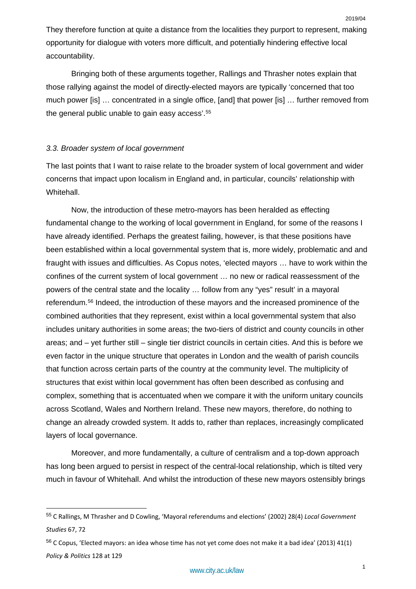They therefore function at quite a distance from the localities they purport to represent, making opportunity for dialogue with voters more difficult, and potentially hindering effective local accountability.

Bringing both of these arguments together, Rallings and Thrasher notes explain that those rallying against the model of directly-elected mayors are typically 'concerned that too much power [is] … concentrated in a single office, [and] that power [is] … further removed from the general public unable to gain easy access'.<sup>[55](#page-17-0)</sup>

## *3.3. Broader system of local government*

The last points that I want to raise relate to the broader system of local government and wider concerns that impact upon localism in England and, in particular, councils' relationship with Whitehall.

Now, the introduction of these metro-mayors has been heralded as effecting fundamental change to the working of local government in England, for some of the reasons I have already identified. Perhaps the greatest failing, however, is that these positions have been established within a local governmental system that is, more widely, problematic and and fraught with issues and difficulties. As Copus notes, 'elected mayors … have to work within the confines of the current system of local government … no new or radical reassessment of the powers of the central state and the locality … follow from any "yes" result' in a mayoral referendum.[56](#page-17-1) Indeed, the introduction of these mayors and the increased prominence of the combined authorities that they represent, exist within a local governmental system that also includes unitary authorities in some areas; the two-tiers of district and county councils in other areas; and – yet further still – single tier district councils in certain cities. And this is before we even factor in the unique structure that operates in London and the wealth of parish councils that function across certain parts of the country at the community level. The multiplicity of structures that exist within local government has often been described as confusing and complex, something that is accentuated when we compare it with the uniform unitary councils across Scotland, Wales and Northern Ireland. These new mayors, therefore, do nothing to change an already crowded system. It adds to, rather than replaces, increasingly complicated layers of local governance.

Moreover, and more fundamentally, a culture of centralism and a top-down approach has long been argued to persist in respect of the central-local relationship, which is tilted very much in favour of Whitehall. And whilst the introduction of these new mayors ostensibly brings

<span id="page-17-0"></span> <sup>55</sup> C Rallings, M Thrasher and D Cowling, 'Mayoral referendums and elections' (2002) 28(4) *Local Government Studies* 67, 72

<span id="page-17-1"></span><sup>56</sup> C Copus, 'Elected mayors: an idea whose time has not yet come does not make it a bad idea' (2013) 41(1) *Policy & Politics* 128 at 129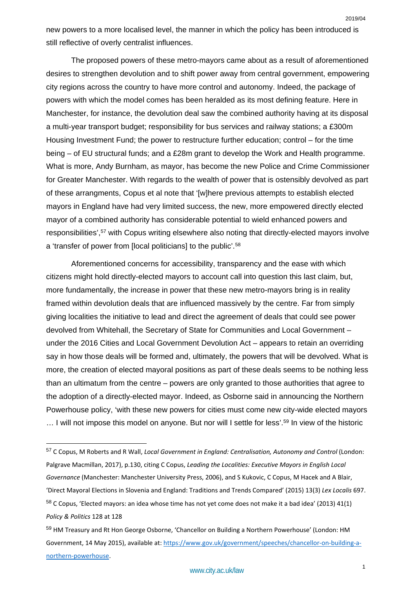The proposed powers of these metro-mayors came about as a result of aforementioned desires to strengthen devolution and to shift power away from central government, empowering city regions across the country to have more control and autonomy. Indeed, the package of powers with which the model comes has been heralded as its most defining feature. Here in Manchester, for instance, the devolution deal saw the combined authority having at its disposal a multi-year transport budget; responsibility for bus services and railway stations; a £300m Housing Investment Fund; the power to restructure further education; control – for the time being – of EU structural funds; and a £28m grant to develop the Work and Health programme. What is more, Andy Burnham, as mayor, has become the new Police and Crime Commissioner for Greater Manchester. With regards to the wealth of power that is ostensibly devolved as part of these arrangments, Copus et al note that '[w]here previous attempts to establish elected mayors in England have had very limited success, the new, more empowered directly elected mayor of a combined authority has considerable potential to wield enhanced powers and responsibilities',<sup>[57](#page-18-0)</sup> with Copus writing elsewhere also noting that directly-elected mayors involve a 'transfer of power from [local politicians] to the public'.[58](#page-18-1)

Aforementioned concerns for accessibility, transparency and the ease with which citizens might hold directly-elected mayors to account call into question this last claim, but, more fundamentally, the increase in power that these new metro-mayors bring is in reality framed within devolution deals that are influenced massively by the centre. Far from simply giving localities the initiative to lead and direct the agreement of deals that could see power devolved from Whitehall, the Secretary of State for Communities and Local Government – under the 2016 Cities and Local Government Devolution Act – appears to retain an overriding say in how those deals will be formed and, ultimately, the powers that will be devolved. What is more, the creation of elected mayoral positions as part of these deals seems to be nothing less than an ultimatum from the centre – powers are only granted to those authorities that agree to the adoption of a directly-elected mayor. Indeed, as Osborne said in announcing the Northern Powerhouse policy, 'with these new powers for cities must come new city-wide elected mayors ... I will not impose this model on anyone. But nor will I settle for less'.<sup>[59](#page-18-2)</sup> In view of the historic

<span id="page-18-0"></span> <sup>57</sup> C Copus, M Roberts and R Wall, *Local Government in England: Centralisation, Autonomy and Control* (London: Palgrave Macmillan, 2017), p.130, citing C Copus, *Leading the Localities: Executive Mayors in English Local Governance* (Manchester: Manchester University Press, 2006), and S Kukovic, C Copus, M Hacek and A Blair, 'Direct Mayoral Elections in Slovenia and England: Traditions and Trends Compared' (2015) 13(3) *Lex Localis* 697. <sup>58</sup> C Copus, 'Elected mayors: an idea whose time has not yet come does not make it a bad idea' (2013) 41(1) *Policy & Politics* 128 at 128

<span id="page-18-2"></span><span id="page-18-1"></span><sup>59</sup> HM Treasury and Rt Hon George Osborne, 'Chancellor on Building a Northern Powerhouse' (London: HM Government, 14 May 2015), available at: [https://www.gov.uk/government/speeches/chancellor-on-building-a](https://www.gov.uk/government/speeches/chancellor-on-building-a-northern-powerhouse)[northern-powerhouse.](https://www.gov.uk/government/speeches/chancellor-on-building-a-northern-powerhouse)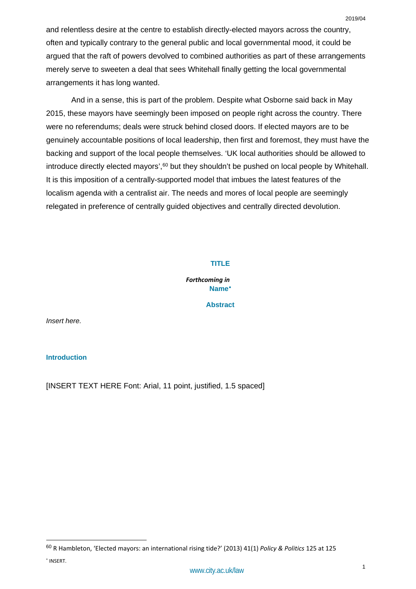And in a sense, this is part of the problem. Despite what Osborne said back in May 2015, these mayors have seemingly been imposed on people right across the country. There were no referendums; deals were struck behind closed doors. If elected mayors are to be genuinely accountable positions of local leadership, then first and foremost, they must have the backing and support of the local people themselves. 'UK local authorities should be allowed to introduce directly elected mayors',<sup>[60](#page-19-0)</sup> but they shouldn't be pushed on local people by Whitehall. It is this imposition of a centrally-supported model that imbues the latest features of the localism agenda with a centralist air. The needs and mores of local people are seemingly relegated in preference of centrally guided objectives and centrally directed devolution.

## **TITLE**

*Forthcoming in*  **Name**[∗](#page-19-1)

**Abstract**

*Insert here.*

## **Introduction**

[INSERT TEXT HERE Font: Arial, 11 point, justified, 1.5 spaced]

<span id="page-19-1"></span><span id="page-19-0"></span> <sup>60</sup> R Hambleton, 'Elected mayors: an international rising tide?' (2013) 41(1) *Policy & Politics* 125 at 125 <sup>∗</sup> INSERT.